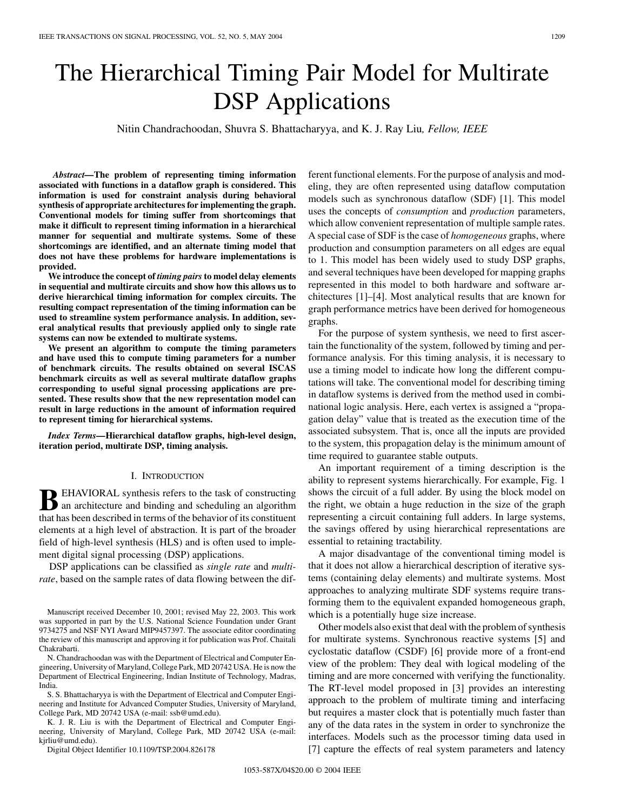# The Hierarchical Timing Pair Model for Multirate DSP Applications

Nitin Chandrachoodan, Shuvra S. Bhattacharyya, and K. J. Ray Liu*, Fellow, IEEE*

*Abstract—***The problem of representing timing information associated with functions in a dataflow graph is considered. This information is used for constraint analysis during behavioral synthesis of appropriate architectures for implementing the graph. Conventional models for timing suffer from shortcomings that make it difficult to represent timing information in a hierarchical manner for sequential and multirate systems. Some of these shortcomings are identified, and an alternate timing model that does not have these problems for hardware implementations is provided.**

**We introduce the concept of** *timing pairs***to model delay elements in sequential and multirate circuits and show how this allows us to derive hierarchical timing information for complex circuits. The resulting compact representation of the timing information can be used to streamline system performance analysis. In addition, several analytical results that previously applied only to single rate systems can now be extended to multirate systems.**

**We present an algorithm to compute the timing parameters and have used this to compute timing parameters for a number of benchmark circuits. The results obtained on several ISCAS benchmark circuits as well as several multirate dataflow graphs corresponding to useful signal processing applications are presented. These results show that the new representation model can result in large reductions in the amount of information required to represent timing for hierarchical systems.**

*Index Terms—***Hierarchical dataflow graphs, high-level design, iteration period, multirate DSP, timing analysis.**

#### I. INTRODUCTION

**B** EHAVIORAL synthesis refers to the task of constructing an architecture and binding and scheduling an algorithm that has been described in terms of the behavior of its constituent EHAVIORAL synthesis refers to the task of constructing an architecture and binding and scheduling an algorithm elements at a high level of abstraction. It is part of the broader field of high-level synthesis (HLS) and is often used to implement digital signal processing (DSP) applications.

DSP applications can be classified as *single rate* and *multirate*, based on the sample rates of data flowing between the dif-

Manuscript received December 10, 2001; revised May 22, 2003. This work was supported in part by the U.S. National Science Foundation under Grant 9734275 and NSF NYI Award MIP9457397. The associate editor coordinating the review of this manuscript and approving it for publication was Prof. Chaitali Chakrabarti.

N. Chandrachoodan was with the Department of Electrical and Computer Engineering, University of Maryland, College Park, MD 20742 USA. He is now the Department of Electrical Engineering, Indian Institute of Technology, Madras, India.

S. S. Bhattacharyya is with the Department of Electrical and Computer Engineering and Institute for Advanced Computer Studies, University of Maryland, College Park, MD 20742 USA (e-mail: ssb@umd.edu).

K. J. R. Liu is with the Department of Electrical and Computer Engineering, University of Maryland, College Park, MD 20742 USA (e-mail: kirliu@umd.edu).

Digital Object Identifier 10.1109/TSP.2004.826178

ferent functional elements. For the purpose of analysis and modeling, they are often represented using dataflow computation models such as synchronous dataflow (SDF) [1]. This model uses the concepts of *consumption* and *production* parameters, which allow convenient representation of multiple sample rates. A special case of SDF is the case of *homogeneous* graphs, where production and consumption parameters on all edges are equal to 1. This model has been widely used to study DSP graphs, and several techniques have been developed for mapping graphs represented in this model to both hardware and software architectures [1]–[4]. Most analytical results that are known for graph performance metrics have been derived for homogeneous graphs.

For the purpose of system synthesis, we need to first ascertain the functionality of the system, followed by timing and performance analysis. For this timing analysis, it is necessary to use a timing model to indicate how long the different computations will take. The conventional model for describing timing in dataflow systems is derived from the method used in combinational logic analysis. Here, each vertex is assigned a "propagation delay" value that is treated as the execution time of the associated subsystem. That is, once all the inputs are provided to the system, this propagation delay is the minimum amount of time required to guarantee stable outputs.

An important requirement of a timing description is the ability to represent systems hierarchically. For example, Fig. 1 shows the circuit of a full adder. By using the block model on the right, we obtain a huge reduction in the size of the graph representing a circuit containing full adders. In large systems, the savings offered by using hierarchical representations are essential to retaining tractability.

A major disadvantage of the conventional timing model is that it does not allow a hierarchical description of iterative systems (containing delay elements) and multirate systems. Most approaches to analyzing multirate SDF systems require transforming them to the equivalent expanded homogeneous graph, which is a potentially huge size increase.

Other models also exist that deal with the problem of synthesis for multirate systems. Synchronous reactive systems [5] and cyclostatic dataflow (CSDF) [6] provide more of a front-end view of the problem: They deal with logical modeling of the timing and are more concerned with verifying the functionality. The RT-level model proposed in [3] provides an interesting approach to the problem of multirate timing and interfacing but requires a master clock that is potentially much faster than any of the data rates in the system in order to synchronize the interfaces. Models such as the processor timing data used in [7] capture the effects of real system parameters and latency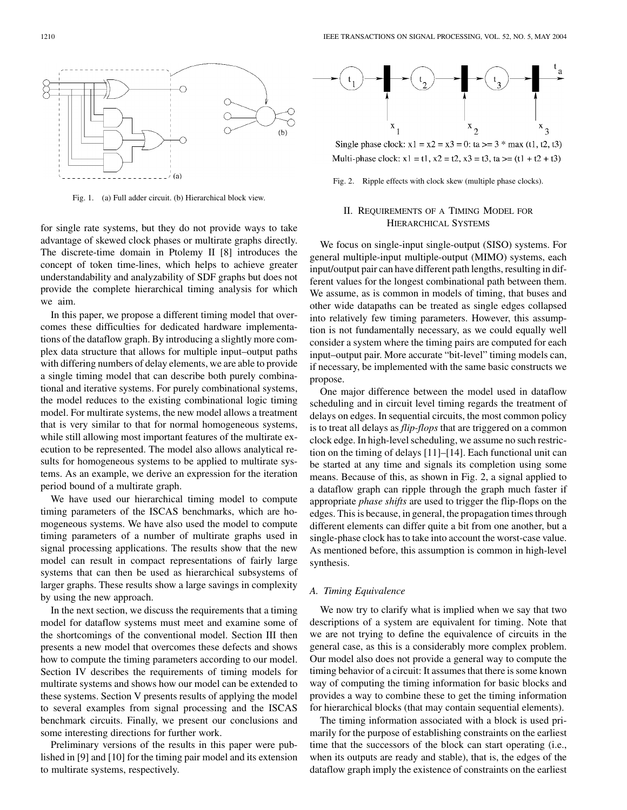

Fig. 1. (a) Full adder circuit. (b) Hierarchical block view.

for single rate systems, but they do not provide ways to take advantage of skewed clock phases or multirate graphs directly. The discrete-time domain in Ptolemy II [8] introduces the concept of token time-lines, which helps to achieve greater understandability and analyzability of SDF graphs but does not provide the complete hierarchical timing analysis for which we aim.

In this paper, we propose a different timing model that overcomes these difficulties for dedicated hardware implementations of the dataflow graph. By introducing a slightly more complex data structure that allows for multiple input–output paths with differing numbers of delay elements, we are able to provide a single timing model that can describe both purely combinational and iterative systems. For purely combinational systems, the model reduces to the existing combinational logic timing model. For multirate systems, the new model allows a treatment that is very similar to that for normal homogeneous systems, while still allowing most important features of the multirate execution to be represented. The model also allows analytical results for homogeneous systems to be applied to multirate systems. As an example, we derive an expression for the iteration period bound of a multirate graph.

We have used our hierarchical timing model to compute timing parameters of the ISCAS benchmarks, which are homogeneous systems. We have also used the model to compute timing parameters of a number of multirate graphs used in signal processing applications. The results show that the new model can result in compact representations of fairly large systems that can then be used as hierarchical subsystems of larger graphs. These results show a large savings in complexity by using the new approach.

In the next section, we discuss the requirements that a timing model for dataflow systems must meet and examine some of the shortcomings of the conventional model. Section III then presents a new model that overcomes these defects and shows how to compute the timing parameters according to our model. Section IV describes the requirements of timing models for multirate systems and shows how our model can be extended to these systems. Section V presents results of applying the model to several examples from signal processing and the ISCAS benchmark circuits. Finally, we present our conclusions and some interesting directions for further work.

Preliminary versions of the results in this paper were published in [9] and [10] for the timing pair model and its extension to multirate systems, respectively.



Single phase clock:  $x1 = x2 = x3 = 0$ : ta >= 3 \* max (t1, t2, t3) Multi-phase clock:  $x1 = t1$ ,  $x2 = t2$ ,  $x3 = t3$ ,  $ta \ge (t1 + t2 + t3)$ 

Fig. 2. Ripple effects with clock skew (multiple phase clocks).

# II. REQUIREMENTS OF A TIMING MODEL FOR HIERARCHICAL SYSTEMS

We focus on single-input single-output (SISO) systems. For general multiple-input multiple-output (MIMO) systems, each input/output pair can have different path lengths, resulting in different values for the longest combinational path between them. We assume, as is common in models of timing, that buses and other wide datapaths can be treated as single edges collapsed into relatively few timing parameters. However, this assumption is not fundamentally necessary, as we could equally well consider a system where the timing pairs are computed for each input–output pair. More accurate "bit-level" timing models can, if necessary, be implemented with the same basic constructs we propose.

One major difference between the model used in dataflow scheduling and in circuit level timing regards the treatment of delays on edges. In sequential circuits, the most common policy is to treat all delays as *flip-flops* that are triggered on a common clock edge. In high-level scheduling, we assume no such restriction on the timing of delays [11]–[14]. Each functional unit can be started at any time and signals its completion using some means. Because of this, as shown in Fig. 2, a signal applied to a dataflow graph can ripple through the graph much faster if appropriate *phase shifts* are used to trigger the flip-flops on the edges. This is because, in general, the propagation times through different elements can differ quite a bit from one another, but a single-phase clock has to take into account the worst-case value. As mentioned before, this assumption is common in high-level synthesis.

#### *A. Timing Equivalence*

We now try to clarify what is implied when we say that two descriptions of a system are equivalent for timing. Note that we are not trying to define the equivalence of circuits in the general case, as this is a considerably more complex problem. Our model also does not provide a general way to compute the timing behavior of a circuit: It assumes that there is some known way of computing the timing information for basic blocks and provides a way to combine these to get the timing information for hierarchical blocks (that may contain sequential elements).

The timing information associated with a block is used primarily for the purpose of establishing constraints on the earliest time that the successors of the block can start operating (i.e., when its outputs are ready and stable), that is, the edges of the dataflow graph imply the existence of constraints on the earliest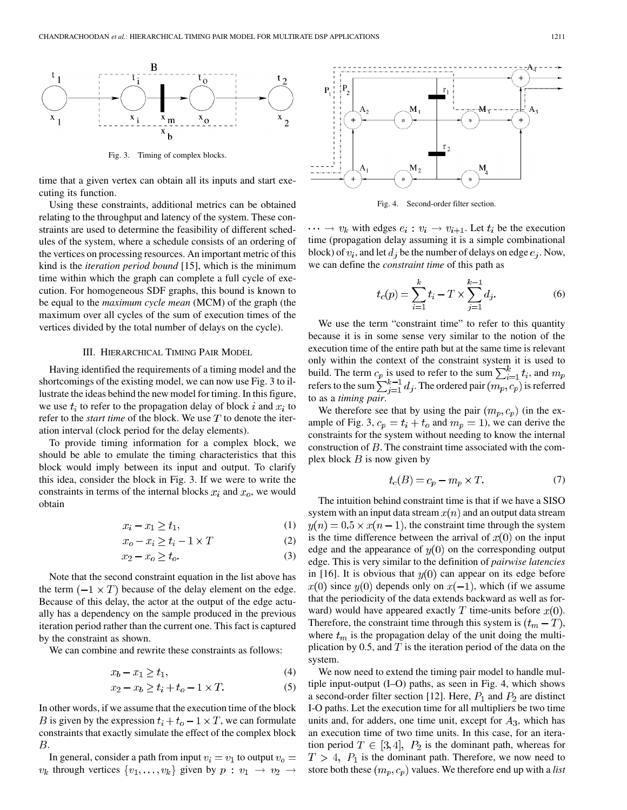

Fig. 3. Timing of complex blocks.

time that a given vertex can obtain all its inputs and start executing its function.

Using these constraints, additional metrics can be obtained relating to the throughput and latency of the system. These constraints are used to determine the feasibility of different schedules of the system, where a schedule consists of an ordering of the vertices on processing resources. An important metric of this kind is the *iteration period bound* [15], which is the minimum time within which the graph can complete a full cycle of execution. For homogeneous SDF graphs, this bound is known to be equal to the *maximum cycle mean* (MCM) of the graph (the maximum over all cycles of the sum of execution times of the vertices divided by the total number of delays on the cycle).

#### III. HIERARCHICAL TIMING PAIR MODEL

Having identified the requirements of a timing model and the shortcomings of the existing model, we can now use Fig. 3 to illustrate the ideas behind the new model for timing. In this figure, we use  $t_i$  to refer to the propagation delay of block i and  $x_i$  to refer to the *start time* of the block. We use  $T$  to denote the iteration interval (clock period for the delay elements).

To provide timing information for a complex block, we should be able to emulate the timing characteristics that this block would imply between its input and output. To clarify this idea, consider the block in Fig. 3. If we were to write the constraints in terms of the internal blocks  $x_i$  and  $x_o$ , we would obtain

$$
x_i - x_1 \ge t_1,\tag{1}
$$

$$
x_o - x_i \ge t_i - 1 \times T \tag{2}
$$

$$
x_2 - x_o \ge t_o. \tag{3}
$$

Note that the second constraint equation in the list above has the term  $(-1 \times T)$  because of the delay element on the edge. Because of this delay, the actor at the output of the edge actually has a dependency on the sample produced in the previous iteration period rather than the current one. This fact is captured by the constraint as shown.

We can combine and rewrite these constraints as follows:

$$
x_b - x_1 \ge t_1,\tag{4}
$$

$$
x_2 - x_b \ge t_i + t_o - 1 \times T. \tag{5}
$$

In other words, if we assume that the execution time of the block B is given by the expression  $t_i + t_o - 1 \times T$ , we can formulate constraints that exactly simulate the effect of the complex block В.

In general, consider a path from input  $v_i = v_1$  to output  $v_o =$  $v_k$  through vertices  $\{v_1, \ldots, v_k\}$  given by  $p : v_1 \rightarrow v_2 \rightarrow$ 



Fig. 4. Second-order filter section.

 $\cdots \rightarrow v_k$  with edges  $e_i : v_i \rightarrow v_{i+1}$ . Let  $t_i$  be the execution time (propagation delay assuming it is a simple combinational block) of  $v_i$ , and let  $d_i$  be the number of delays on edge  $e_i$ . Now, we can define the *constraint time* of this path as

$$
t_c(p) = \sum_{i=1}^{k} t_i - T \times \sum_{j=1}^{k-1} d_j.
$$
 (6)

We use the term "constraint time" to refer to this quantity because it is in some sense very similar to the notion of the execution time of the entire path but at the same time is relevant only within the context of the constraint system it is used to build. The term  $c_p$  is used to refer to the sum  $\sum_{i=1}^k t_i$ , and refers to the sum  $\sum_{i=1}^{k-1} d_i$ . The ordered pair  $(m_p, c_p)$  is referred to as a *timing pair*.

We therefore see that by using the pair  $(m_p, c_p)$  (in the example of Fig. 3,  $c_p = t_i + t_o$  and  $m_p = 1$ ), we can derive the constraints for the system without needing to know the internal construction of  $B$ . The constraint time associated with the complex block  $B$  is now given by

$$
t_c(B) = c_p - m_p \times T.
$$
 (7)

The intuition behind constraint time is that if we have a SISO system with an input data stream  $x(n)$  and an output data stream  $y(n) = 0.5 \times x(n-1)$ , the constraint time through the system is the time difference between the arrival of  $x(0)$  on the input edge and the appearance of  $y(0)$  on the corresponding output edge. This is very similar to the definition of *pairwise latencies* in [16]. It is obvious that  $y(0)$  can appear on its edge before  $x(0)$  since  $y(0)$  depends only on  $x(-1)$ , which (if we assume that the periodicity of the data extends backward as well as forward) would have appeared exactly T time-units before  $x(0)$ . Therefore, the constraint time through this system is  $(t_m - T)$ , where  $t_m$  is the propagation delay of the unit doing the multiplication by 0.5, and  $T$  is the iteration period of the data on the system.

We now need to extend the timing pair model to handle multiple input-output (I–O) paths, as seen in Fig. 4, which shows a second-order filter section [12]. Here,  $P_1$  and  $P_2$  are distinct I-O paths. Let the execution time for all multipliers be two time units and, for adders, one time unit, except for  $A_3$ , which has an execution time of two time units. In this case, for an iteration period  $T \in [3, 4]$ ,  $P_2$  is the dominant path, whereas for  $T > 4$ ,  $P_1$  is the dominant path. Therefore, we now need to store both these  $(m_p, c_p)$  values. We therefore end up with a *list*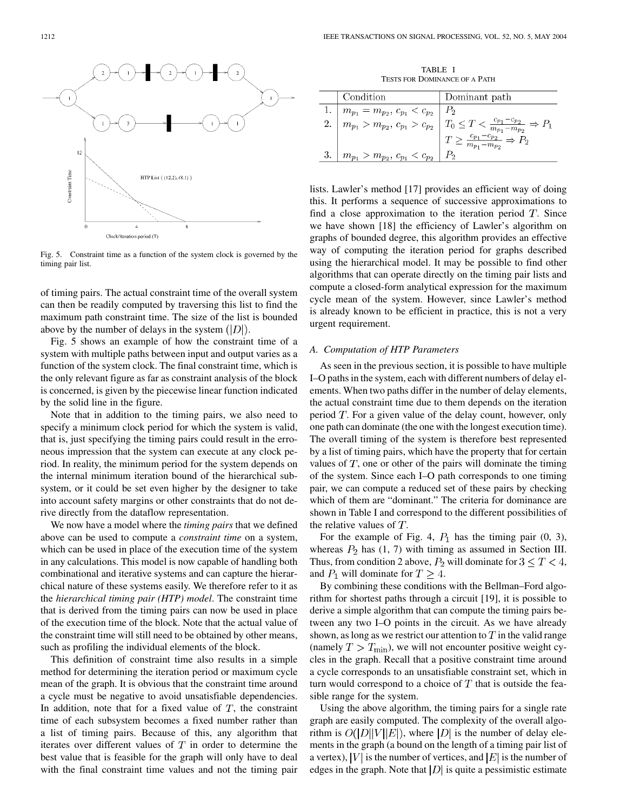

Fig. 5. Constraint time as a function of the system clock is governed by the timing pair list.

of timing pairs. The actual constraint time of the overall system can then be readily computed by traversing this list to find the maximum path constraint time. The size of the list is bounded above by the number of delays in the system  $(|D|)$ .

Fig. 5 shows an example of how the constraint time of a system with multiple paths between input and output varies as a function of the system clock. The final constraint time, which is the only relevant figure as far as constraint analysis of the block is concerned, is given by the piecewise linear function indicated by the solid line in the figure.

Note that in addition to the timing pairs, we also need to specify a minimum clock period for which the system is valid, that is, just specifying the timing pairs could result in the erroneous impression that the system can execute at any clock period. In reality, the minimum period for the system depends on the internal minimum iteration bound of the hierarchical subsystem, or it could be set even higher by the designer to take into account safety margins or other constraints that do not derive directly from the dataflow representation.

We now have a model where the *timing pairs* that we defined above can be used to compute a *constraint time* on a system, which can be used in place of the execution time of the system in any calculations. This model is now capable of handling both combinational and iterative systems and can capture the hierarchical nature of these systems easily. We therefore refer to it as the *hierarchical timing pair (HTP) model*. The constraint time that is derived from the timing pairs can now be used in place of the execution time of the block. Note that the actual value of the constraint time will still need to be obtained by other means, such as profiling the individual elements of the block.

This definition of constraint time also results in a simple method for determining the iteration period or maximum cycle mean of the graph. It is obvious that the constraint time around a cycle must be negative to avoid unsatisfiable dependencies. In addition, note that for a fixed value of  $T$ , the constraint time of each subsystem becomes a fixed number rather than a list of timing pairs. Because of this, any algorithm that iterates over different values of  $T$  in order to determine the best value that is feasible for the graph will only have to deal with the final constraint time values and not the timing pair

TABLE I TESTS FOR DOMINANCE OF A PATH

|                                        | $\begin{array}{ll} \hline \textup{Condition} \\  & m_{p_1} = m_{p_2}, \, c_{p_1} < c_{p_2} \\ 2. & m_{p_1} > m_{p_2}, \, c_{p_1} > c_{p_2} \\ \hline \end{array} \begin{array}{ll} \hline \\ P_2 \\ T_0 \leq T < \frac{c_{p_1} - c_{p_2}}{m_{p_1} - m_{p_2}} \Rightarrow P_1 \\ T \geq \frac{c_{p_1} - c_{p_2}}{m_{p_1} - m_{p_2}} \Rightarrow P_2 \end{array}$ |
|----------------------------------------|-----------------------------------------------------------------------------------------------------------------------------------------------------------------------------------------------------------------------------------------------------------------------------------------------------------------------------------------------------------------|
|                                        |                                                                                                                                                                                                                                                                                                                                                                 |
| $m_{p_1} > m_{p_2}, c_{p_1} < c_{p_2}$ |                                                                                                                                                                                                                                                                                                                                                                 |

lists. Lawler's method [17] provides an efficient way of doing this. It performs a sequence of successive approximations to find a close approximation to the iteration period  $T$ . Since we have shown [18] the efficiency of Lawler's algorithm on graphs of bounded degree, this algorithm provides an effective way of computing the iteration period for graphs described using the hierarchical model. It may be possible to find other algorithms that can operate directly on the timing pair lists and compute a closed-form analytical expression for the maximum cycle mean of the system. However, since Lawler's method is already known to be efficient in practice, this is not a very urgent requirement.

#### *A. Computation of HTP Parameters*

As seen in the previous section, it is possible to have multiple I–O paths in the system, each with different numbers of delay elements. When two paths differ in the number of delay elements, the actual constraint time due to them depends on the iteration period  $T$ . For a given value of the delay count, however, only one path can dominate (the one with the longest execution time). The overall timing of the system is therefore best represented by a list of timing pairs, which have the property that for certain values of  $T$ , one or other of the pairs will dominate the timing of the system. Since each I–O path corresponds to one timing pair, we can compute a reduced set of these pairs by checking which of them are "dominant." The criteria for dominance are shown in Table I and correspond to the different possibilities of the relative values of  $T$ .

For the example of Fig. 4,  $P_1$  has the timing pair (0, 3), whereas  $P_2$  has (1, 7) with timing as assumed in Section III. Thus, from condition 2 above,  $P_2$  will dominate for  $3 \leq T < 4$ , and  $P_1$  will dominate for  $T \geq 4$ .

By combining these conditions with the Bellman–Ford algorithm for shortest paths through a circuit [19], it is possible to derive a simple algorithm that can compute the timing pairs between any two I–O points in the circuit. As we have already shown, as long as we restrict our attention to  $T$  in the valid range (namely  $T > T_{\text{min}}$ ), we will not encounter positive weight cycles in the graph. Recall that a positive constraint time around a cycle corresponds to an unsatisfiable constraint set, which in turn would correspond to a choice of  $T$  that is outside the feasible range for the system.

Using the above algorithm, the timing pairs for a single rate graph are easily computed. The complexity of the overall algorithm is  $O(|D||V||E|)$ , where  $|D|$  is the number of delay elements in the graph (a bound on the length of a timing pair list of a vertex), |V| is the number of vertices, and |E| is the number of edges in the graph. Note that  $|D|$  is quite a pessimistic estimate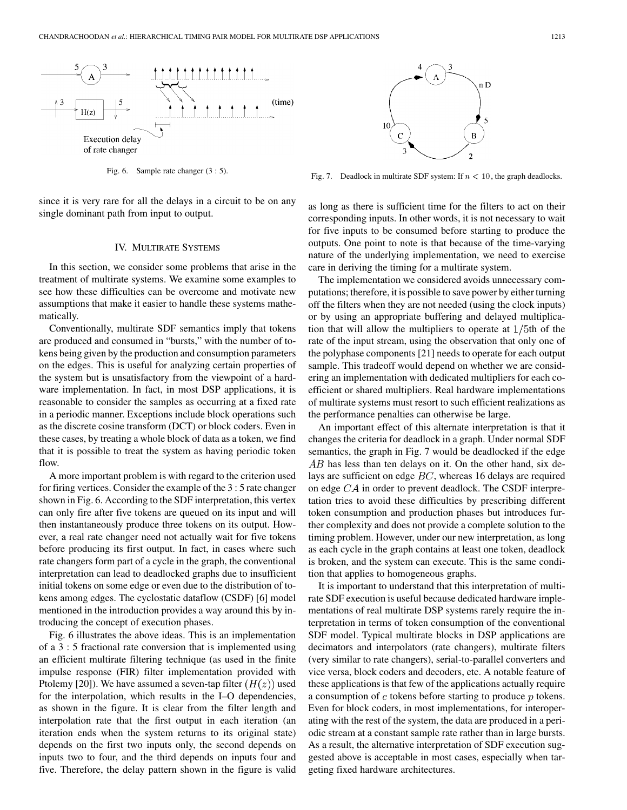

Fig. 6. Sample rate changer (3 : 5).

since it is very rare for all the delays in a circuit to be on any single dominant path from input to output.

## IV. MULTIRATE SYSTEMS

In this section, we consider some problems that arise in the treatment of multirate systems. We examine some examples to see how these difficulties can be overcome and motivate new assumptions that make it easier to handle these systems mathematically.

Conventionally, multirate SDF semantics imply that tokens are produced and consumed in "bursts," with the number of tokens being given by the production and consumption parameters on the edges. This is useful for analyzing certain properties of the system but is unsatisfactory from the viewpoint of a hardware implementation. In fact, in most DSP applications, it is reasonable to consider the samples as occurring at a fixed rate in a periodic manner. Exceptions include block operations such as the discrete cosine transform (DCT) or block coders. Even in these cases, by treating a whole block of data as a token, we find that it is possible to treat the system as having periodic token flow.

A more important problem is with regard to the criterion used for firing vertices. Consider the example of the 3 : 5 rate changer shown in Fig. 6. According to the SDF interpretation, this vertex can only fire after five tokens are queued on its input and will then instantaneously produce three tokens on its output. However, a real rate changer need not actually wait for five tokens before producing its first output. In fact, in cases where such rate changers form part of a cycle in the graph, the conventional interpretation can lead to deadlocked graphs due to insufficient initial tokens on some edge or even due to the distribution of tokens among edges. The cyclostatic dataflow (CSDF) [6] model mentioned in the introduction provides a way around this by introducing the concept of execution phases.

Fig. 6 illustrates the above ideas. This is an implementation of a 3 : 5 fractional rate conversion that is implemented using an efficient multirate filtering technique (as used in the finite impulse response (FIR) filter implementation provided with Ptolemy [20]). We have assumed a seven-tap filter  $(H(z))$  used for the interpolation, which results in the I–O dependencies, as shown in the figure. It is clear from the filter length and interpolation rate that the first output in each iteration (an iteration ends when the system returns to its original state) depends on the first two inputs only, the second depends on inputs two to four, and the third depends on inputs four and five. Therefore, the delay pattern shown in the figure is valid



Fig. 7. Deadlock in multirate SDF system: If  $n < 10$ , the graph deadlocks.

as long as there is sufficient time for the filters to act on their corresponding inputs. In other words, it is not necessary to wait for five inputs to be consumed before starting to produce the outputs. One point to note is that because of the time-varying nature of the underlying implementation, we need to exercise care in deriving the timing for a multirate system.

The implementation we considered avoids unnecessary computations; therefore, it is possible to save power by either turning off the filters when they are not needed (using the clock inputs) or by using an appropriate buffering and delayed multiplication that will allow the multipliers to operate at  $1/5$ th of the rate of the input stream, using the observation that only one of the polyphase components [21] needs to operate for each output sample. This tradeoff would depend on whether we are considering an implementation with dedicated multipliers for each coefficient or shared multipliers. Real hardware implementations of multirate systems must resort to such efficient realizations as the performance penalties can otherwise be large.

An important effect of this alternate interpretation is that it changes the criteria for deadlock in a graph. Under normal SDF semantics, the graph in Fig. 7 would be deadlocked if the edge  $AB$  has less than ten delays on it. On the other hand, six delays are sufficient on edge  $BC$ , whereas 16 delays are required on edge  $CA$  in order to prevent deadlock. The CSDF interpretation tries to avoid these difficulties by prescribing different token consumption and production phases but introduces further complexity and does not provide a complete solution to the timing problem. However, under our new interpretation, as long as each cycle in the graph contains at least one token, deadlock is broken, and the system can execute. This is the same condition that applies to homogeneous graphs.

It is important to understand that this interpretation of multirate SDF execution is useful because dedicated hardware implementations of real multirate DSP systems rarely require the interpretation in terms of token consumption of the conventional SDF model. Typical multirate blocks in DSP applications are decimators and interpolators (rate changers), multirate filters (very similar to rate changers), serial-to-parallel converters and vice versa, block coders and decoders, etc. A notable feature of these applications is that few of the applications actually require a consumption of  $c$  tokens before starting to produce  $p$  tokens. Even for block coders, in most implementations, for interoperating with the rest of the system, the data are produced in a periodic stream at a constant sample rate rather than in large bursts. As a result, the alternative interpretation of SDF execution suggested above is acceptable in most cases, especially when targeting fixed hardware architectures.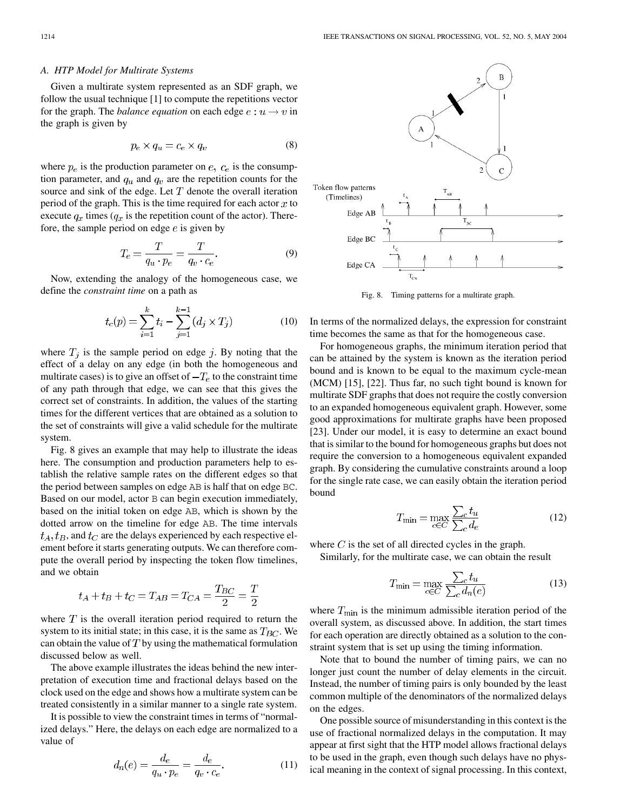#### *A. HTP Model for Multirate Systems*

Given a multirate system represented as an SDF graph, we follow the usual technique [1] to compute the repetitions vector for the graph. The *balance equation* on each edge  $e: u \rightarrow v$  in the graph is given by

$$
p_e \times q_u = c_e \times q_v \tag{8}
$$

where  $p_e$  is the production parameter on  $e$ ,  $c_e$  is the consumption parameter, and  $q_u$  and  $q_v$  are the repetition counts for the source and sink of the edge. Let  $T$  denote the overall iteration period of the graph. This is the time required for each actor  $x$  to execute  $q_x$  times ( $q_x$  is the repetition count of the actor). Therefore, the sample period on edge  $e$  is given by

$$
T_e = \frac{T}{q_u \cdot p_e} = \frac{T}{q_v \cdot c_e}.
$$
\n(9)

Now, extending the analogy of the homogeneous case, we define the *constraint time* on a path as

$$
t_c(p) = \sum_{i=1}^{k} t_i - \sum_{j=1}^{k-1} (d_j \times T_j)
$$
 (10)

where  $T_j$  is the sample period on edge j. By noting that the effect of a delay on any edge (in both the homogeneous and multirate cases) is to give an offset of  $-T_e$  to the constraint time of any path through that edge, we can see that this gives the correct set of constraints. In addition, the values of the starting times for the different vertices that are obtained as a solution to the set of constraints will give a valid schedule for the multirate system.

Fig. 8 gives an example that may help to illustrate the ideas here. The consumption and production parameters help to establish the relative sample rates on the different edges so that the period between samples on edge AB is half that on edge BC. Based on our model, actor B can begin execution immediately, based on the initial token on edge AB, which is shown by the dotted arrow on the timeline for edge AB. The time intervals  $t_A, t_B$ , and  $t_C$  are the delays experienced by each respective element before it starts generating outputs. We can therefore compute the overall period by inspecting the token flow timelines, and we obtain

$$
t_A+t_B+t_C=T_{AB}=T_{CA}=\frac{T_{BC}}{2}=\frac{T}{2}
$$

where  $T$  is the overall iteration period required to return the system to its initial state; in this case, it is the same as  $T_{BC}$ . We can obtain the value of  $T$  by using the mathematical formulation discussed below as well.

The above example illustrates the ideas behind the new interpretation of execution time and fractional delays based on the clock used on the edge and shows how a multirate system can be treated consistently in a similar manner to a single rate system.

It is possible to view the constraint times in terms of "normalized delays." Here, the delays on each edge are normalized to a value of

$$
d_n(e) = \frac{d_e}{q_u \cdot p_e} = \frac{d_e}{q_v \cdot c_e}.
$$
 (11)



Fig. 8. Timing patterns for a multirate graph.

In terms of the normalized delays, the expression for constraint time becomes the same as that for the homogeneous case.

For homogeneous graphs, the minimum iteration period that can be attained by the system is known as the iteration period bound and is known to be equal to the maximum cycle-mean (MCM) [15], [22]. Thus far, no such tight bound is known for multirate SDF graphs that does not require the costly conversion to an expanded homogeneous equivalent graph. However, some good approximations for multirate graphs have been proposed [23]. Under our model, it is easy to determine an exact bound that is similar to the bound for homogeneous graphs but does not require the conversion to a homogeneous equivalent expanded graph. By considering the cumulative constraints around a loop for the single rate case, we can easily obtain the iteration period bound

$$
T_{\min} = \max_{c \in C} \frac{\sum_{c} t_u}{\sum_{c} d_e} \tag{12}
$$

where  $C$  is the set of all directed cycles in the graph.

Similarly, for the multirate case, we can obtain the result

$$
T_{\min} = \max_{c \in C} \frac{\sum_{c} t_u}{\sum_{c} d_n(e)}\tag{13}
$$

where  $T_{\text{min}}$  is the minimum admissible iteration period of the overall system, as discussed above. In addition, the start times for each operation are directly obtained as a solution to the constraint system that is set up using the timing information.

Note that to bound the number of timing pairs, we can no longer just count the number of delay elements in the circuit. Instead, the number of timing pairs is only bounded by the least common multiple of the denominators of the normalized delays on the edges.

One possible source of misunderstanding in this context is the use of fractional normalized delays in the computation. It may appear at first sight that the HTP model allows fractional delays to be used in the graph, even though such delays have no physical meaning in the context of signal processing. In this context,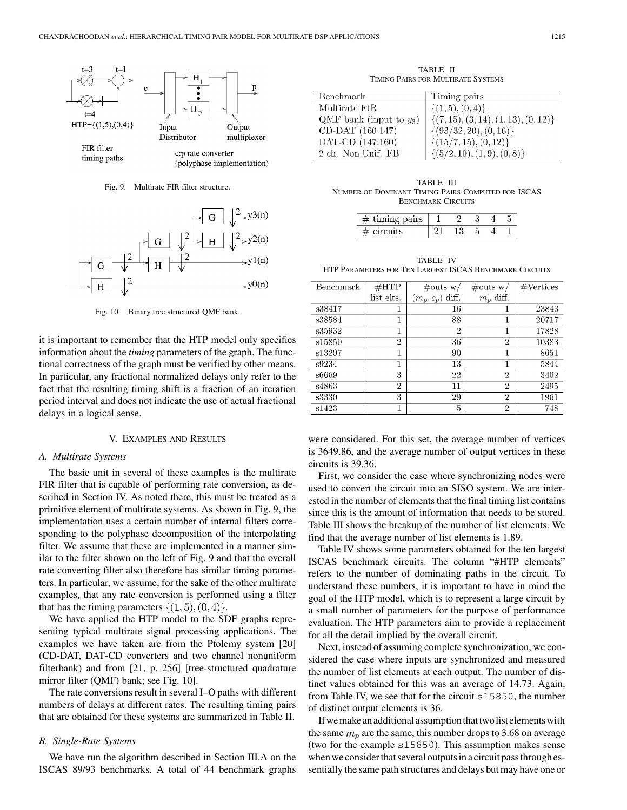

Fig. 9. Multirate FIR filter structure.



Fig. 10. Binary tree structured QMF bank.

it is important to remember that the HTP model only specifies information about the *timing* parameters of the graph. The functional correctness of the graph must be verified by other means. In particular, any fractional normalized delays only refer to the fact that the resulting timing shift is a fraction of an iteration period interval and does not indicate the use of actual fractional delays in a logical sense.

### V. EXAMPLES AND RESULTS

# *A. Multirate Systems*

The basic unit in several of these examples is the multirate FIR filter that is capable of performing rate conversion, as described in Section IV. As noted there, this must be treated as a primitive element of multirate systems. As shown in Fig. 9, the implementation uses a certain number of internal filters corresponding to the polyphase decomposition of the interpolating filter. We assume that these are implemented in a manner similar to the filter shown on the left of Fig. 9 and that the overall rate converting filter also therefore has similar timing parameters. In particular, we assume, for the sake of the other multirate examples, that any rate conversion is performed using a filter that has the timing parameters  $\{(1,5), (0,4)\}.$ 

We have applied the HTP model to the SDF graphs representing typical multirate signal processing applications. The examples we have taken are from the Ptolemy system [20] (CD-DAT, DAT-CD converters and two channel nonuniform filterbank) and from [21, p. 256] [tree-structured quadrature mirror filter (QMF) bank; see Fig. 10].

The rate conversions result in several I–O paths with different numbers of delays at different rates. The resulting timing pairs that are obtained for these systems are summarized in Table II.

#### *B. Single-Rate Systems*

We have run the algorithm described in Section III.A on the ISCAS 89/93 benchmarks. A total of 44 benchmark graphs

TABLE II TIMING PAIRS FOR MULTIRATE SYSTEMS

| Benchmark                  | Timing pairs                               |
|----------------------------|--------------------------------------------|
| Multirate FIR.             | $\{(1,5), (0,4)\}\$                        |
| QMF bank (input to $y_3$ ) | $\{ (7, 15), (3, 14), (1, 13), (0, 12) \}$ |
| CD-DAT (160:147)           | $\{(93/32, 20), (0, 16)\}\$                |
| DAT-CD (147:160)           | $\{(15/7, 15), (0, 12)\}\$                 |
| 2 ch. Non.Unif. FB         | $\{(5/2, 10), (1, 9), (0, 8)\}\$           |

TABLE III NUMBER OF DOMINANT TIMING PAIRS COMPUTED FOR ISCAS BENCHMARK CIRCUITS

| www.kare.org<br>14444440 |  |  |  |
|--------------------------|--|--|--|
|                          |  |  |  |

TABLE IV HTP PARAMETERS FOR TEN LARGEST ISCAS BENCHMARK CIRCUITS

| Benchmark | $\#\text{HTP}$ | $\# \text{outs } w$ | $\#$ outs w/   | #Vertices |
|-----------|----------------|---------------------|----------------|-----------|
|           | list elts.     | $(m_p, c_p)$ diff.  | $m_p$ diff.    |           |
| s38417    | 1              | 16                  |                | 23843     |
| s38584    | 1              | 88                  | 1              | 20717     |
| s35932    | 1              | $\overline{2}$      | 1              | 17828     |
| s15850    | $\overline{2}$ | 36                  | 2              | 10383     |
| s13207    | 1              | 90                  | 1              | 8651      |
| s9234     | 1              | 13                  | 1              | 5844      |
| s6669     | 3              | 22                  | 2              | 3402      |
| s4863     | $\overline{2}$ | 11                  | 2              | 2495      |
| s3330     | 3              | 29                  | $\overline{2}$ | 1961      |
| s1423     | 1              | 5                   | $\overline{2}$ | 748       |

were considered. For this set, the average number of vertices is 3649.86, and the average number of output vertices in these circuits is 39.36.

First, we consider the case where synchronizing nodes were used to convert the circuit into an SISO system. We are interested in the number of elements that the final timing list contains since this is the amount of information that needs to be stored. Table III shows the breakup of the number of list elements. We find that the average number of list elements is 1.89.

Table IV shows some parameters obtained for the ten largest ISCAS benchmark circuits. The column "#HTP elements" refers to the number of dominating paths in the circuit. To understand these numbers, it is important to have in mind the goal of the HTP model, which is to represent a large circuit by a small number of parameters for the purpose of performance evaluation. The HTP parameters aim to provide a replacement for all the detail implied by the overall circuit.

Next, instead of assuming complete synchronization, we considered the case where inputs are synchronized and measured the number of list elements at each output. The number of distinct values obtained for this was an average of 14.73. Again, from Table IV, we see that for the circuit s15850, the number of distinct output elements is 36.

If we make an additional assumption that two list elements with the same  $m_p$  are the same, this number drops to 3.68 on average (two for the example s15850). This assumption makes sense when we consider that several outputs in a circuit pass through essentially the same path structures and delays but may have one or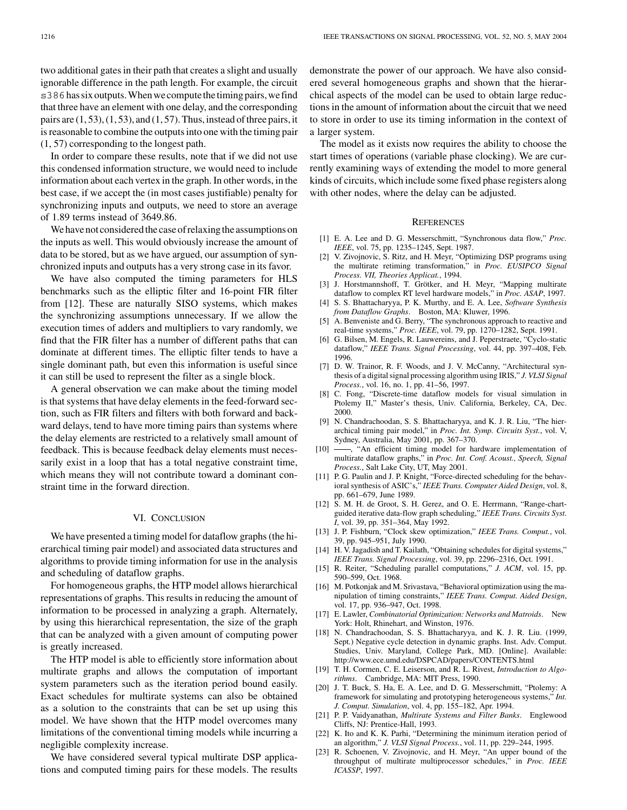two additional gates in their path that creates a slight and usually ignorable difference in the path length. For example, the circuit s386hassixoutputs.Whenwecomputethetimingpairs,wefind that three have an element with one delay, and the corresponding pairs are  $(1, 53)$ ,  $(1, 53)$ , and  $(1, 57)$ . Thus, instead of three pairs, it is reasonable to combine the outputs into one with the timing pair (1, 57) corresponding to the longest path.

In order to compare these results, note that if we did not use this condensed information structure, we would need to include information about each vertex in the graph. In other words, in the best case, if we accept the (in most cases justifiable) penalty for synchronizing inputs and outputs, we need to store an average of 1.89 terms instead of 3649.86.

We have not considered the case of relaxing the assumptions on the inputs as well. This would obviously increase the amount of data to be stored, but as we have argued, our assumption of synchronized inputs and outputs has a very strong case in its favor.

We have also computed the timing parameters for HLS benchmarks such as the elliptic filter and 16-point FIR filter from [12]. These are naturally SISO systems, which makes the synchronizing assumptions unnecessary. If we allow the execution times of adders and multipliers to vary randomly, we find that the FIR filter has a number of different paths that can dominate at different times. The elliptic filter tends to have a single dominant path, but even this information is useful since it can still be used to represent the filter as a single block.

A general observation we can make about the timing model is that systems that have delay elements in the feed-forward section, such as FIR filters and filters with both forward and backward delays, tend to have more timing pairs than systems where the delay elements are restricted to a relatively small amount of feedback. This is because feedback delay elements must necessarily exist in a loop that has a total negative constraint time, which means they will not contribute toward a dominant constraint time in the forward direction.

## VI. CONCLUSION

We have presented a timing model for dataflow graphs (the hierarchical timing pair model) and associated data structures and algorithms to provide timing information for use in the analysis and scheduling of dataflow graphs.

For homogeneous graphs, the HTP model allows hierarchical representations of graphs. This results in reducing the amount of information to be processed in analyzing a graph. Alternately, by using this hierarchical representation, the size of the graph that can be analyzed with a given amount of computing power is greatly increased.

The HTP model is able to efficiently store information about multirate graphs and allows the computation of important system parameters such as the iteration period bound easily. Exact schedules for multirate systems can also be obtained as a solution to the constraints that can be set up using this model. We have shown that the HTP model overcomes many limitations of the conventional timing models while incurring a negligible complexity increase.

We have considered several typical multirate DSP applications and computed timing pairs for these models. The results demonstrate the power of our approach. We have also considered several homogeneous graphs and shown that the hierarchical aspects of the model can be used to obtain large reductions in the amount of information about the circuit that we need to store in order to use its timing information in the context of a larger system.

The model as it exists now requires the ability to choose the start times of operations (variable phase clocking). We are currently examining ways of extending the model to more general kinds of circuits, which include some fixed phase registers along with other nodes, where the delay can be adjusted.

#### **REFERENCES**

- [1] E. A. Lee and D. G. Messerschmitt, "Synchronous data flow," *Proc. IEEE*, vol. 75, pp. 1235–1245, Sept. 1987.
- [2] V. Zivojnovic, S. Ritz, and H. Meyr, "Optimizing DSP programs using the multirate retiming transformation," in *Proc. EUSIPCO Signal Process. VII, Theories Applicat.*, 1994.
- [3] J. Horstmannshoff, T. Grötker, and H. Meyr, "Mapping multirate dataflow to complex RT level hardware models," in *Proc. ASAP*, 1997.
- [4] S. S. Bhattacharyya, P. K. Murthy, and E. A. Lee, *Software Synthesis from Dataflow Graphs*. Boston, MA: Kluwer, 1996.
- [5] A. Benveniste and G. Berry, "The synchronous approach to reactive and real-time systems," *Proc. IEEE*, vol. 79, pp. 1270–1282, Sept. 1991.
- [6] G. Bilsen, M. Engels, R. Lauwereins, and J. Peperstraete, "Cyclo-static dataflow," *IEEE Trans. Signal Processing*, vol. 44, pp. 397–408, Feb. 1996.
- [7] D. W. Trainor, R. F. Woods, and J. V. McCanny, "Architectural synthesis of a digital signal processing algorithm using IRIS," *J. VLSI Signal Process.*, vol. 16, no. 1, pp. 41–56, 1997.
- [8] C. Fong, "Discrete-time dataflow models for visual simulation in Ptolemy II," Master's thesis, Univ. California, Berkeley, CA, Dec. 2000.
- [9] N. Chandrachoodan, S. S. Bhattacharyya, and K. J. R. Liu, "The hierarchical timing pair model," in *Proc. Int. Symp. Circuits Syst.*, vol. V, Sydney, Australia, May 2001, pp. 367–370.
- [10] -, "An efficient timing model for hardware implementation of multirate dataflow graphs," in *Proc. Int. Conf. Acoust., Speech, Signal Process.*, Salt Lake City, UT, May 2001.
- [11] P. G. Paulin and J. P. Knight, "Force-directed scheduling for the behavioral synthesis of ASIC's," *IEEE Trans. Computer Aided Design*, vol. 8, pp. 661–679, June 1989.
- [12] S. M. H. de Groot, S. H. Gerez, and O. E. Herrmann, "Range-chartguided iterative data-flow graph scheduling," *IEEE Trans. Circuits Syst. I*, vol. 39, pp. 351–364, May 1992.
- [13] J. P. Fishburn, "Clock skew optimization," *IEEE Trans. Comput.*, vol. 39, pp. 945–951, July 1990.
- [14] H. V. Jagadish and T. Kailath, "Obtaining schedules for digital systems," *IEEE Trans. Signal Processing*, vol. 39, pp. 2296–2316, Oct. 1991.
- [15] R. Reiter, "Scheduling parallel computations," *J. ACM*, vol. 15, pp. 590–599, Oct. 1968.
- [16] M. Potkonjak and M. Srivastava, "Behavioral optimization using the manipulation of timing constraints," *IEEE Trans. Comput. Aided Design*, vol. 17, pp. 936–947, Oct. 1998.
- [17] E. Lawler, *Combinatorial Optimization: Networks and Matroids*. New York: Holt, Rhinehart, and Winston, 1976.
- [18] N. Chandrachoodan, S. S. Bhattacharyya, and K. J. R. Liu. (1999, Sept.) Negative cycle detection in dynamic graphs. Inst. Adv. Comput. Studies, Univ. Maryland, College Park, MD. [Online]. Available: http://www.ece.umd.edu/DSPCAD/papers/CONTENTS.html
- [19] T. H. Cormen, C. E. Leiserson, and R. L. Rivest, *Introduction to Algorithms*. Cambridge, MA: MIT Press, 1990.
- [20] J. T. Buck, S. Ha, E. A. Lee, and D. G. Messerschmitt, "Ptolemy: A framework for simulating and prototyping heterogeneous systems," *Int. J. Comput. Simulation*, vol. 4, pp. 155–182, Apr. 1994.
- [21] P. P. Vaidyanathan, *Multirate Systems and Filter Banks*. Englewood Cliffs, NJ: Prentice-Hall, 1993.
- [22] K. Ito and K. K. Parhi, "Determining the minimum iteration period of an algorithm," *J. VLSI Signal Process.*, vol. 11, pp. 229–244, 1995.
- [23] R. Schoenen, V. Zivojnovic, and H. Meyr, "An upper bound of the throughput of multirate multiprocessor schedules," in *Proc. IEEE ICASSP*, 1997.